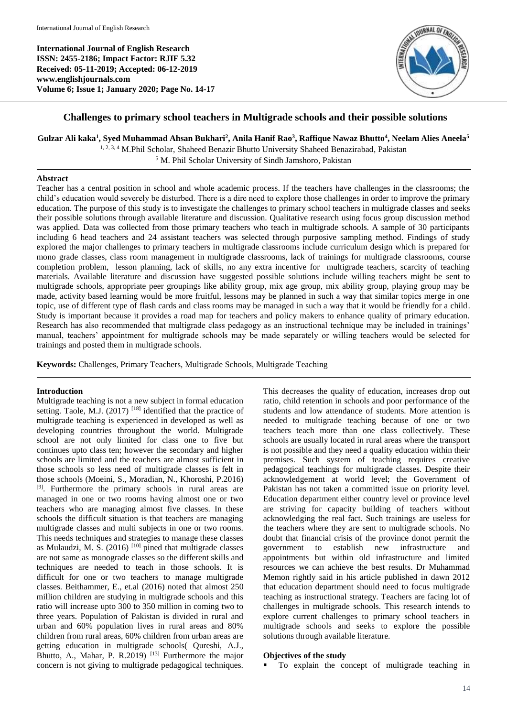**International Journal of English Research ISSN: 2455-2186; Impact Factor: RJIF 5.32 Received: 05-11-2019; Accepted: 06-12-2019 www.englishjournals.com Volume 6; Issue 1; January 2020; Page No. 14-17**



# **Challenges to primary school teachers in Multigrade schools and their possible solutions**

**Gulzar Ali kaka<sup>1</sup> , Syed Muhammad Ahsan Bukhari<sup>2</sup> , Anila Hanif Rao<sup>3</sup> , Raffique Nawaz Bhutto<sup>4</sup> , Neelam Alies Aneela<sup>5</sup>**

<sup>1, 2, 3, 4</sup> M.Phil Scholar, Shaheed Benazir Bhutto University Shaheed Benazirabad, Pakistan

<sup>5</sup> M. Phil Scholar University of Sindh Jamshoro, Pakistan

# **Abstract**

Teacher has a central position in school and whole academic process. If the teachers have challenges in the classrooms; the child's education would severely be disturbed. There is a dire need to explore those challenges in order to improve the primary education. The purpose of this study is to investigate the challenges to primary school teachers in multigrade classes and seeks their possible solutions through available literature and discussion. Qualitative research using focus group discussion method was applied. Data was collected from those primary teachers who teach in multigrade schools. A sample of 30 participants including 6 head teachers and 24 assistant teachers was selected through purposive sampling method. Findings of study explored the major challenges to primary teachers in multigrade classrooms include curriculum design which is prepared for mono grade classes, class room management in multigrade classrooms, lack of trainings for multigrade classrooms, course completion problem, lesson planning, lack of skills, no any extra incentive for multigrade teachers, scarcity of teaching materials. Available literature and discussion have suggested possible solutions include willing teachers might be sent to multigrade schools, appropriate peer groupings like ability group, mix age group, mix ability group, playing group may be made, activity based learning would be more fruitful, lessons may be planned in such a way that similar topics merge in one topic, use of different type of flash cards and class rooms may be managed in such a way that it would be friendly for a child. Study is important because it provides a road map for teachers and policy makers to enhance quality of primary education. Research has also recommended that multigrade class pedagogy as an instructional technique may be included in trainings' manual, teachers' appointment for multigrade schools may be made separately or willing teachers would be selected for trainings and posted them in multigrade schools.

**Keywords:** Challenges, Primary Teachers, Multigrade Schools, Multigrade Teaching

# **Introduction**

Multigrade teaching is not a new subject in formal education setting. Taole, M.J. (2017)<sup>[18]</sup> identified that the practice of multigrade teaching is experienced in developed as well as developing countries throughout the world. Multigrade school are not only limited for class one to five but continues upto class ten; however the secondary and higher schools are limited and the teachers are almost sufficient in those schools so less need of multigrade classes is felt in those schools (Moeini, S., Moradian, N., Khoroshi, P.2016) [9]. Furthermore the primary schools in rural areas are managed in one or two rooms having almost one or two teachers who are managing almost five classes. In these schools the difficult situation is that teachers are managing multigrade classes and multi subjects in one or two rooms. This needs techniques and strategies to manage these classes as Mulaudzi, M. S.  $(2016)$ <sup>[10]</sup> pined that multigrade classes are not same as monograde classes so the different skills and techniques are needed to teach in those schools. It is difficult for one or two teachers to manage multigrade classes. Beithammer, E., et.al (2016) noted that almost 250 million children are studying in multigrade schools and this ratio will increase upto 300 to 350 million in coming two to three years. Population of Pakistan is divided in rural and urban and 60% population lives in rural areas and 80% children from rural areas, 60% children from urban areas are getting education in multigrade schools( Qureshi, A.J., Bhutto, A., Mahar, P. R.2019)<sup>[13]</sup> Furthermore the major concern is not giving to multigrade pedagogical techniques.

This decreases the quality of education, increases drop out ratio, child retention in schools and poor performance of the students and low attendance of students. More attention is needed to multigrade teaching because of one or two teachers teach more than one class collectively. These schools are usually located in rural areas where the transport is not possible and they need a quality education within their premises. Such system of teaching requires creative pedagogical teachings for multigrade classes. Despite their acknowledgement at world level; the Government of Pakistan has not taken a committed issue on priority level. Education department either country level or province level are striving for capacity building of teachers without acknowledging the real fact. Such trainings are useless for the teachers where they are sent to multigrade schools. No doubt that financial crisis of the province donot permit the government to establish new infrastructure and appointments but within old infrastructure and limited resources we can achieve the best results. Dr Muhammad Memon rightly said in his article published in dawn 2012 that education department should need to focus multigrade teaching as instructional strategy. Teachers are facing lot of challenges in multigrade schools. This research intends to explore current challenges to primary school teachers in multigrade schools and seeks to explore the possible solutions through available literature.

# **Objectives of the study**

To explain the concept of multigrade teaching in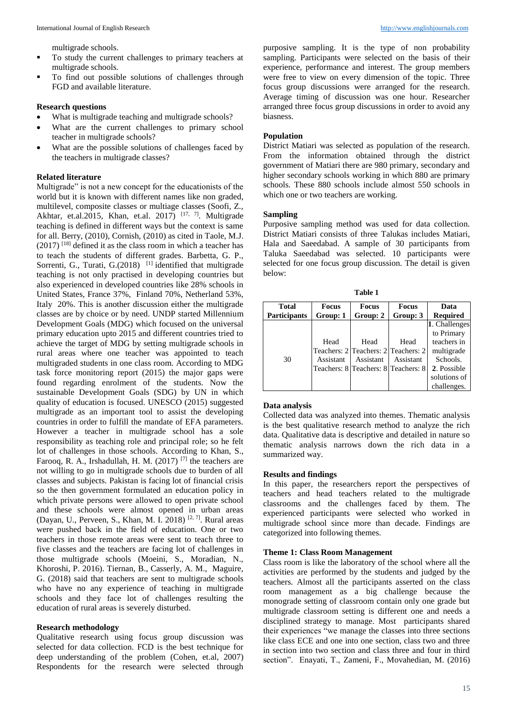multigrade schools.

- To study the current challenges to primary teachers at multigrade schools.
- To find out possible solutions of challenges through FGD and available literature.

#### **Research questions**

- What is multigrade teaching and multigrade schools?
- What are the current challenges to primary school teacher in multigrade schools?
- What are the possible solutions of challenges faced by the teachers in multigrade classes?

#### **Related literature**

Multigrade" is not a new concept for the educationists of the world but it is known with different names like non graded, multilevel, composite classes or multiage classes (Soofi, Z., Akhtar, et.al.2015, Khan, et.al. 2017)  $[17, 7]$ . Multigrade teaching is defined in different ways but the context is same for all. Berry, (2010), Cornish, (2010) as cited in Taole, M.J.  $(2017)$ <sup>[18]</sup> defined it as the class room in which a teacher has to teach the students of different grades. Barbetta, G. P., Sorrenti, G., Turati, G.(2018)<sup>[1]</sup> identified that multigrade teaching is not only practised in developing countries but also experienced in developed countries like 28% schools in United States, France 37%, Finland 70%, Netherland 53%, Italy 20%. This is another discussion either the multigrade classes are by choice or by need. UNDP started Millennium Development Goals (MDG) which focused on the universal primary education upto 2015 and different countries tried to achieve the target of MDG by setting multigrade schools in rural areas where one teacher was appointed to teach multigraded students in one class room. According to MDG task force monitoring report (2015) the major gaps were found regarding enrolment of the students. Now the sustainable Development Goals (SDG) by UN in which quality of education is focused. UNESCO (2015) suggested multigrade as an important tool to assist the developing countries in order to fulfill the mandate of EFA parameters. However a teacher in multigrade school has a sole responsibility as teaching role and principal role; so he felt lot of challenges in those schools. According to Khan, S., Farooq, R. A., Irshadullah, H. M. (2017) [7] the teachers are not willing to go in multigrade schools due to burden of all classes and subjects. Pakistan is facing lot of financial crisis so the then government formulated an education policy in which private persons were allowed to open private school and these schools were almost opened in urban areas (Dayan, U., Perveen, S., Khan, M. I. 2018) [2, 7]. Rural areas were pushed back in the field of education. One or two teachers in those remote areas were sent to teach three to five classes and the teachers are facing lot of challenges in those multigrade schools (Moeini, S., Moradian, N., Khoroshi, P. 2016). Tiernan, B., Casserly, A. M., Maguire, G. (2018) said that teachers are sent to multigrade schools who have no any experience of teaching in multigrade schools and they face lot of challenges resulting the education of rural areas is severely disturbed.

#### **Research methodology**

Qualitative research using focus group discussion was selected for data collection. FCD is the best technique for deep understanding of the problem (Cohen, et.al, 2007) Respondents for the research were selected through

purposive sampling. It is the type of non probability sampling. Participants were selected on the basis of their experience, performance and interest. The group members were free to view on every dimension of the topic. Three focus group discussions were arranged for the research. Average timing of discussion was one hour. Researcher arranged three focus group discussions in order to avoid any biasness.

#### **Population**

District Matiari was selected as population of the research. From the information obtained through the district government of Matiari there are 980 primary, secondary and higher secondary schools working in which 880 are primary schools. These 880 schools include almost 550 schools in which one or two teachers are working.

#### **Sampling**

Purposive sampling method was used for data collection. District Matiari consists of three Talukas includes Matiari, Hala and Saeedabad. A sample of 30 participants from Taluka Saeedabad was selected. 10 participants were selected for one focus group discussion. The detail is given below:

| Table 1             |           |                                     |              |                 |
|---------------------|-----------|-------------------------------------|--------------|-----------------|
| <b>Total</b>        | Focus     | <b>Focus</b>                        | <b>Focus</b> | Data            |
| <b>Participants</b> | Group: 1  | Group: 2                            | Group: 3     | <b>Required</b> |
|                     |           |                                     |              | 1. Challenges   |
|                     |           |                                     |              | to Primary      |
|                     | Head      | Head                                | Head         | teachers in     |
|                     |           | Teachers: 2 Teachers: 2 Teachers: 2 |              | multigrade      |
| 30                  | Assistant | Assistant                           | Assistant    | Schools.        |
|                     |           | Teachers: 8 Teachers: 8 Teachers: 8 |              | 2. Possible     |
|                     |           |                                     |              | solutions of    |
|                     |           |                                     |              | challenges.     |

#### **Data analysis**

Collected data was analyzed into themes. Thematic analysis is the best qualitative research method to analyze the rich data. Qualitative data is descriptive and detailed in nature so thematic analysis narrows down the rich data in a summarized way.

#### **Results and findings**

In this paper, the researchers report the perspectives of teachers and head teachers related to the multigrade classrooms and the challenges faced by them. The experienced participants were selected who worked in multigrade school since more than decade. Findings are categorized into following themes.

#### **Theme 1: Class Room Management**

Class room is like the laboratory of the school where all the activities are performed by the students and judged by the teachers. Almost all the participants asserted on the class room management as a big challenge because the monograde setting of classroom contain only one grade but multigrade classroom setting is different one and needs a disciplined strategy to manage. Most participants shared their experiences "we manage the classes into three sections like class ECE and one into one section, class two and three in section into two section and class three and four in third section". Enayati, T., Zameni, F., Movahedian, M. (2016)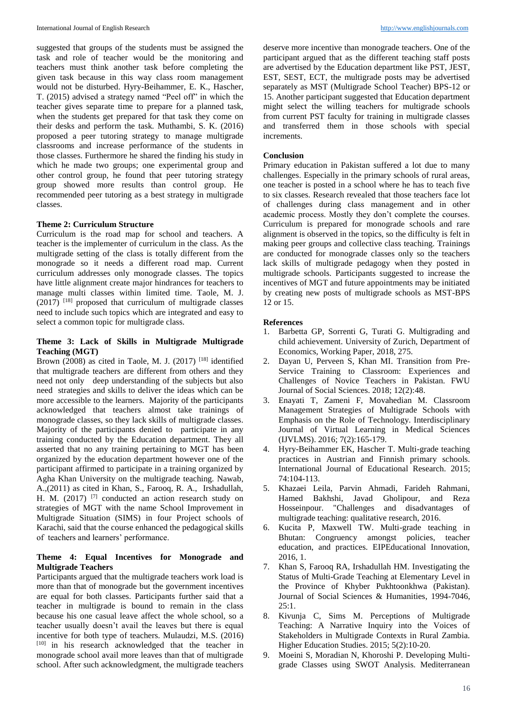suggested that groups of the students must be assigned the task and role of teacher would be the monitoring and teachers must think another task before completing the given task because in this way class room management would not be disturbed. Hyry-Beihammer, E. K., Hascher, T. (2015) advised a strategy named "Peel off" in which the teacher gives separate time to prepare for a planned task, when the students get prepared for that task they come on their desks and perform the task. Muthambi, S. K. (2016) proposed a peer tutoring strategy to manage multigrade classrooms and increase performance of the students in those classes. Furthermore he shared the finding his study in which he made two groups; one experimental group and other control group, he found that peer tutoring strategy group showed more results than control group. He recommended peer tutoring as a best strategy in multigrade classes.

### **Theme 2: Curriculum Structure**

Curriculum is the road map for school and teachers. A teacher is the implementer of curriculum in the class. As the multigrade setting of the class is totally different from the monograde so it needs a different road map. Current curriculum addresses only monograde classes. The topics have little alignment create major hindrances for teachers to manage multi classes within limited time. Taole, M. J.  $(2017)$ <sup>[18]</sup> proposed that curriculum of multigrade classes need to include such topics which are integrated and easy to select a common topic for multigrade class.

# **Theme 3: Lack of Skills in Multigrade Multigrade Teaching (MGT)**

Brown (2008) as cited in Taole, M. J. (2017) [18] identified that multigrade teachers are different from others and they need not only deep understanding of the subjects but also need strategies and skills to deliver the ideas which can be more accessible to the learners. Majority of the participants acknowledged that teachers almost take trainings of monograde classes, so they lack skills of multigrade classes. Majority of the participants denied to participate in any training conducted by the Education department. They all asserted that no any training pertaining to MGT has been organized by the education department however one of the participant affirmed to participate in a training organized by Agha Khan University on the multigrade teaching. Nawab, A.,(2011) as cited in Khan, S., Farooq, R. A., Irshadullah, H. M.  $(2017)$ <sup>[7]</sup> conducted an action research study on strategies of MGT with the name School Improvement in Multigrade Situation (SIMS) in four Project schools of Karachi, said that the course enhanced the pedagogical skills of teachers and learners' performance.

# **Theme 4: Equal Incentives for Monograde and Multigrade Teachers**

Participants argued that the multigrade teachers work load is more than that of monograde but the government incentives are equal for both classes. Participants further said that a teacher in multigrade is bound to remain in the class because his one casual leave affect the whole school, so a teacher usually doesn't avail the leaves but there is equal incentive for both type of teachers. Mulaudzi, M.S. (2016) [10] in his research acknowledged that the teacher in monograde school avail more leaves than that of multigrade school. After such acknowledgment, the multigrade teachers

deserve more incentive than monograde teachers. One of the participant argued that as the different teaching staff posts are advertised by the Education department like PST, JEST, EST, SEST, ECT, the multigrade posts may be advertised separately as MST (Multigrade School Teacher) BPS-12 or 15. Another participant suggested that Education department might select the willing teachers for multigrade schools from current PST faculty for training in multigrade classes and transferred them in those schools with special increments.

#### **Conclusion**

Primary education in Pakistan suffered a lot due to many challenges. Especially in the primary schools of rural areas, one teacher is posted in a school where he has to teach five to six classes. Research revealed that those teachers face lot of challenges during class management and in other academic process. Mostly they don't complete the courses. Curriculum is prepared for monograde schools and rare alignment is observed in the topics, so the difficulty is felt in making peer groups and collective class teaching. Trainings are conducted for monograde classes only so the teachers lack skills of multigrade pedagogy when they posted in multigrade schools. Participants suggested to increase the incentives of MGT and future appointments may be initiated by creating new posts of multigrade schools as MST-BPS 12 or 15.

### **References**

- 1. Barbetta GP, Sorrenti G, Turati G. Multigrading and child achievement. University of Zurich, Department of Economics, Working Paper, 2018, 275.
- 2. Dayan U, Perveen S, Khan MI. Transition from Pre-Service Training to Classroom: Experiences and Challenges of Novice Teachers in Pakistan. FWU Journal of Social Sciences. 2018; 12(2):48.
- 3. Enayati T, Zameni F, Movahedian M. Classroom Management Strategies of Multigrade Schools with Emphasis on the Role of Technology. Interdisciplinary Journal of Virtual Learning in Medical Sciences (IJVLMS). 2016; 7(2):165-179.
- 4. Hyry-Beihammer EK, Hascher T. Multi-grade teaching practices in Austrian and Finnish primary schools. International Journal of Educational Research. 2015; 74:104-113.
- 5. Khazaei Leila, Parvin Ahmadi, Farideh Rahmani, Hamed Bakhshi, Javad Gholipour, and Reza Hosseinpour. "Challenges and disadvantages of multigrade teaching: qualitative research, 2016.
- 6. Kucita P, Maxwell TW. Multi-grade teaching in Bhutan: Congruency amongst policies, teacher education, and practices. EIPEducational Innovation, 2016, 1.
- 7. Khan S, Farooq RA, Irshadullah HM. Investigating the Status of Multi-Grade Teaching at Elementary Level in the Province of Khyber Pukhtoonkhwa (Pakistan). Journal of Social Sciences & Humanities, 1994-7046,  $25:1$ .
- 8. Kivunja C, Sims M. Perceptions of Multigrade Teaching: A Narrative Inquiry into the Voices of Stakeholders in Multigrade Contexts in Rural Zambia. Higher Education Studies. 2015; 5(2):10-20.
- 9. Moeini S, Moradian N, Khoroshi P. Developing Multigrade Classes using SWOT Analysis. Mediterranean